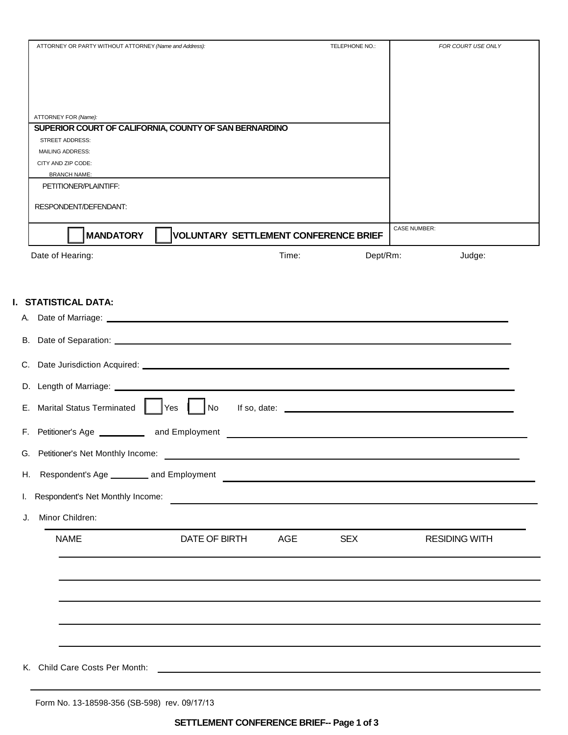|    | ATTORNEY OR PARTY WITHOUT ATTORNEY (Name and Address): |                                                        |       | TELEPHONE NO.:                                                                                                         | FOR COURT USE ONLY                                                                                                    |  |
|----|--------------------------------------------------------|--------------------------------------------------------|-------|------------------------------------------------------------------------------------------------------------------------|-----------------------------------------------------------------------------------------------------------------------|--|
|    |                                                        |                                                        |       |                                                                                                                        |                                                                                                                       |  |
|    |                                                        |                                                        |       |                                                                                                                        |                                                                                                                       |  |
|    |                                                        |                                                        |       |                                                                                                                        |                                                                                                                       |  |
|    | ATTORNEY FOR (Name):                                   |                                                        |       |                                                                                                                        |                                                                                                                       |  |
|    |                                                        | SUPERIOR COURT OF CALIFORNIA, COUNTY OF SAN BERNARDINO |       |                                                                                                                        |                                                                                                                       |  |
|    | <b>STREET ADDRESS:</b><br><b>MAILING ADDRESS:</b>      |                                                        |       |                                                                                                                        |                                                                                                                       |  |
|    | CITY AND ZIP CODE:                                     |                                                        |       |                                                                                                                        |                                                                                                                       |  |
|    | <b>BRANCH NAME:</b><br>PETITIONER/PLAINTIFF:           |                                                        |       |                                                                                                                        |                                                                                                                       |  |
|    |                                                        |                                                        |       |                                                                                                                        |                                                                                                                       |  |
|    | RESPONDENT/DEFENDANT:                                  |                                                        |       |                                                                                                                        |                                                                                                                       |  |
|    | <b>MANDATORY</b>                                       | VOLUNTARY SETTLEMENT CONFERENCE BRIEF                  |       |                                                                                                                        | <b>CASE NUMBER:</b>                                                                                                   |  |
|    | Date of Hearing:                                       |                                                        | Time: | Dept/Rm:                                                                                                               | Judge:                                                                                                                |  |
|    |                                                        |                                                        |       |                                                                                                                        |                                                                                                                       |  |
|    |                                                        |                                                        |       |                                                                                                                        |                                                                                                                       |  |
|    | I. STATISTICAL DATA:                                   |                                                        |       |                                                                                                                        |                                                                                                                       |  |
|    |                                                        |                                                        |       |                                                                                                                        |                                                                                                                       |  |
|    |                                                        |                                                        |       |                                                                                                                        |                                                                                                                       |  |
| В. |                                                        |                                                        |       |                                                                                                                        |                                                                                                                       |  |
|    |                                                        |                                                        |       |                                                                                                                        |                                                                                                                       |  |
| C. |                                                        |                                                        |       |                                                                                                                        |                                                                                                                       |  |
|    |                                                        |                                                        |       |                                                                                                                        |                                                                                                                       |  |
|    |                                                        |                                                        |       |                                                                                                                        |                                                                                                                       |  |
|    | E. Marital Status Terminated                           | Yes<br>$\big $ No                                      |       |                                                                                                                        | If so, date: $\frac{1}{2}$                                                                                            |  |
|    |                                                        | F. Petitioner's Age _____________ and Employment       |       | <u> 1989 - Johann Stoff, deutscher Stoff, der Stoff, deutscher Stoff, der Stoff, der Stoff, der Stoff, der Stoff, </u> |                                                                                                                       |  |
|    | G. Petitioner's Net Monthly Income:                    |                                                        |       |                                                                                                                        |                                                                                                                       |  |
|    | H. Respondent's Age __________ and Employment          |                                                        |       |                                                                                                                        |                                                                                                                       |  |
|    | Respondent's Net Monthly Income:                       |                                                        |       |                                                                                                                        | <u> Terminal de la propincia de la propincia de la propincia de la propincia de la propincia de la propincia de l</u> |  |
|    | Minor Children:                                        |                                                        |       |                                                                                                                        |                                                                                                                       |  |
|    | <b>NAME</b>                                            | DATE OF BIRTH                                          | AGE   | <b>SEX</b>                                                                                                             | <b>RESIDING WITH</b>                                                                                                  |  |
|    |                                                        |                                                        |       |                                                                                                                        |                                                                                                                       |  |
|    |                                                        |                                                        |       |                                                                                                                        |                                                                                                                       |  |
|    |                                                        |                                                        |       |                                                                                                                        |                                                                                                                       |  |
|    |                                                        |                                                        |       |                                                                                                                        |                                                                                                                       |  |
|    |                                                        |                                                        |       |                                                                                                                        |                                                                                                                       |  |
|    |                                                        |                                                        |       |                                                                                                                        |                                                                                                                       |  |
|    |                                                        |                                                        |       |                                                                                                                        |                                                                                                                       |  |
|    |                                                        |                                                        |       |                                                                                                                        |                                                                                                                       |  |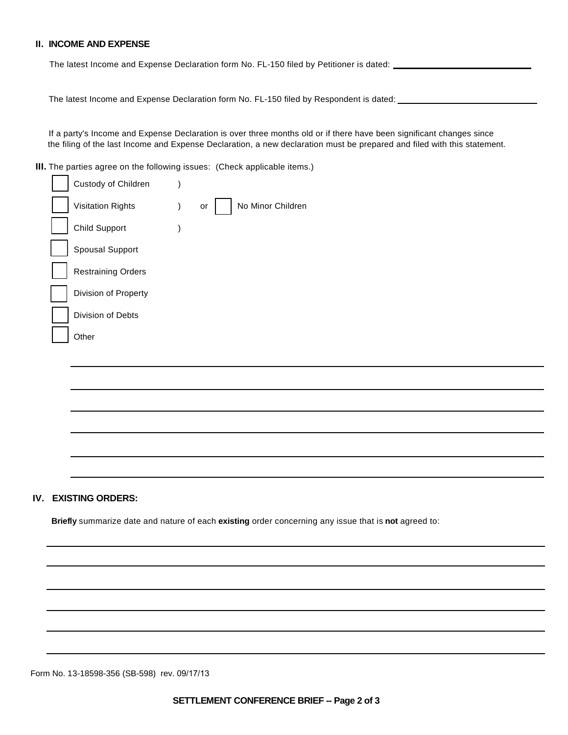## **II. INCOME AND EXPENSE**

The latest Income and Expense Declaration form No. FL-150 filed by Petitioner is dated:

The latest Income and Expense Declaration form No. FL-150 filed by Respondent is dated: \_\_\_\_

If a party's Income and Expense Declaration is over three months old or if there have been significant changes since the filing of the last Income and Expense Declaration, a new declaration must be prepared and filed with this statement.

**III.** The parties agree on the following issues: (Check applicable items.)

| Custody of Children       |                         |
|---------------------------|-------------------------|
| <b>Visitation Rights</b>  | No Minor Children<br>or |
| <b>Child Support</b>      |                         |
| Spousal Support           |                         |
| <b>Restraining Orders</b> |                         |
| Division of Property      |                         |
| Division of Debts         |                         |
| Other                     |                         |
|                           |                         |

# **IV. EXISTING ORDERS:**

**Briefly** summarize date and nature of each **existing** order concerning any issue that is **not** agreed to:

Form No. 13-18598-356 (SB-598) rev. 09/17/13